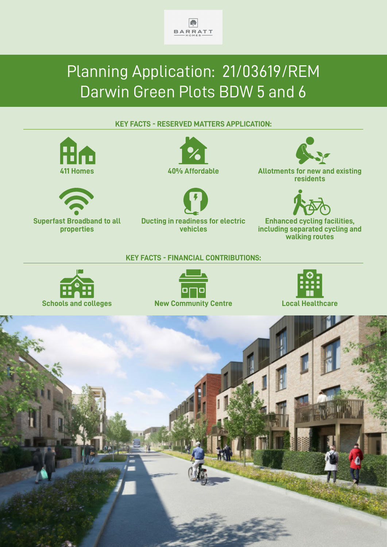

# Planning Application: 21/03619/REM Darwin Green Plots BDW 5 and 6

## **KEY FACTS - RESERVED MATTERS APPLICATION:**





**Superfast Broadband to all properties**





**Ducting in readiness for electric vehicles**



**411 Homes 40% Affordable Allotments for new and existing residents**



**Enhanced cycling facilities, including separated cycling and walking routes**

#### **KEY FACTS - FINANCIAL CONTRIBUTIONS:**







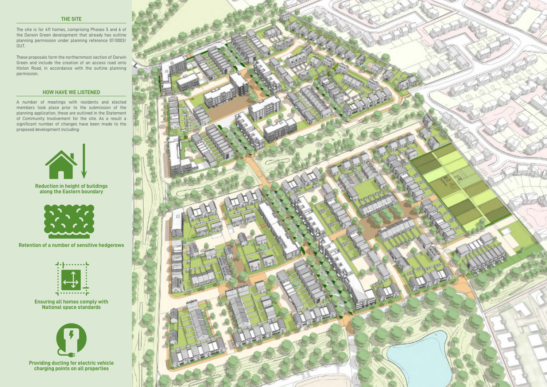The site is for 411 homes, comprising Phases 5 and 6 of the Darwin Green development that already has outline planning permission under planning reference 07/0003/ OUT.

These proposals form the northernmost section of Darwin Green and include the creation of an access road onto Histon Road, in accordance with the outline planning permission.

A number of meetings with residents and elected members took place prior to the submission of the planning application, these are outlined in the Statement of Community Involvement for the site. As a result a significant number of changes have been made to the proposed development including:



## **THE SITE**

### **HOW HAVE WE LISTENED**

## **Reduction in height of buildings along the Eastern boundary**



**Retention of a number of sensitive hedgerows**



**Ensuring all homes comply with National space standards**



**Providing ducting for electric vehicle charging points on all properties**